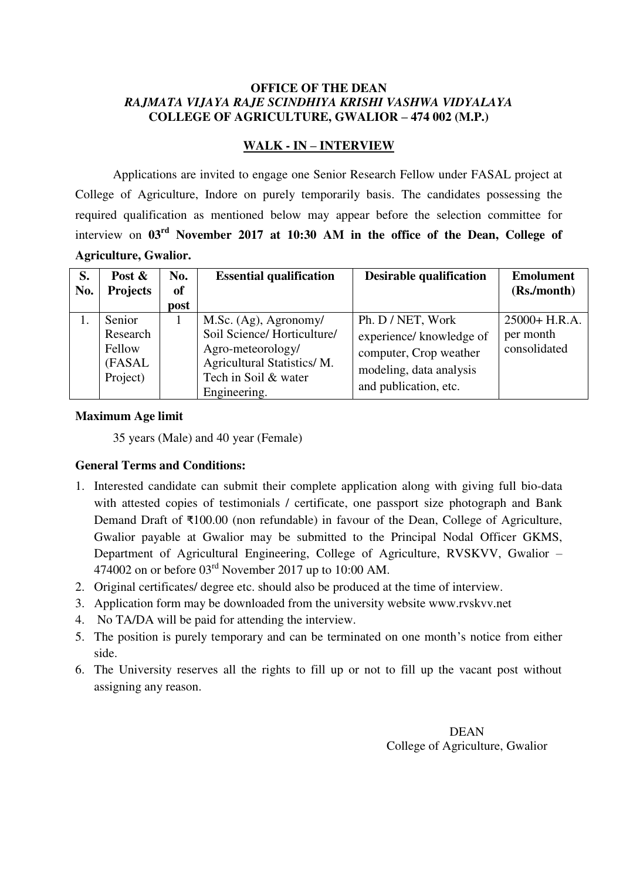#### **OFFICE OF THE DEAN**  *RAJMATA VIJAYA RAJE SCINDHIYA KRISHI VASHWA VIDYALAYA*  **COLLEGE OF AGRICULTURE, GWALIOR – 474 002 (M.P.)**

### **WALK - IN – INTERVIEW**

 Applications are invited to engage one Senior Research Fellow under FASAL project at College of Agriculture, Indore on purely temporarily basis. The candidates possessing the required qualification as mentioned below may appear before the selection committee for interview on **03rd November 2017 at 10:30 AM in the office of the Dean, College of Agriculture, Gwalior.**

| S.<br>No. | Post $\&$<br><b>Projects</b>                        | No.<br><b>of</b><br>post | <b>Essential qualification</b>                                                                                                                 | <b>Desirable qualification</b>                                                                                              | <b>Emolument</b><br>(Rs./month)               |
|-----------|-----------------------------------------------------|--------------------------|------------------------------------------------------------------------------------------------------------------------------------------------|-----------------------------------------------------------------------------------------------------------------------------|-----------------------------------------------|
|           | Senior<br>Research<br>Fellow<br>(FASAL)<br>Project) |                          | M.Sc. (Ag), Agronomy/<br>Soil Science/Horticulture/<br>Agro-meteorology/<br>Agricultural Statistics/M.<br>Tech in Soil & water<br>Engineering. | Ph. D / NET, Work<br>experience/ knowledge of<br>computer, Crop weather<br>modeling, data analysis<br>and publication, etc. | $25000 + H.R.A.$<br>per month<br>consolidated |

### **Maximum Age limit**

35 years (Male) and 40 year (Female)

### **General Terms and Conditions:**

- 1. Interested candidate can submit their complete application along with giving full bio-data with attested copies of testimonials / certificate, one passport size photograph and Bank Demand Draft of ₹100.00 (non refundable) in favour of the Dean, College of Agriculture, Gwalior payable at Gwalior may be submitted to the Principal Nodal Officer GKMS, Department of Agricultural Engineering, College of Agriculture, RVSKVV, Gwalior – 474002 on or before  $03<sup>rd</sup>$  November 2017 up to 10:00 AM.
- 2. Original certificates/ degree etc. should also be produced at the time of interview.
- 3. Application form may be downloaded from the university website www.rvskvv.net
- 4. No TA/DA will be paid for attending the interview.
- 5. The position is purely temporary and can be terminated on one month's notice from either side.
- 6. The University reserves all the rights to fill up or not to fill up the vacant post without assigning any reason.

DEAN College of Agriculture, Gwalior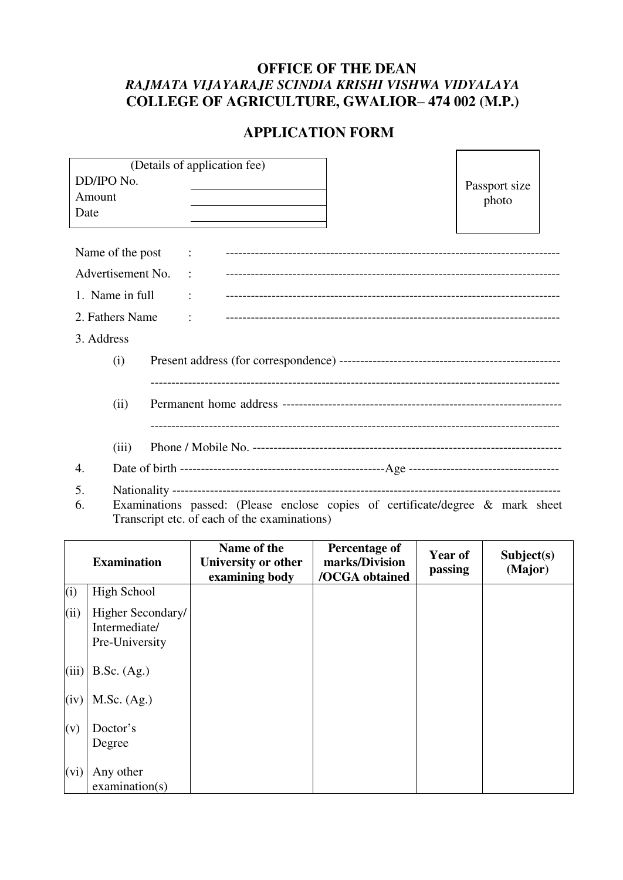# **OFFICE OF THE DEAN**  *RAJMATA VIJAYARAJE SCINDIA KRISHI VISHWA VIDYALAYA*  **COLLEGE OF AGRICULTURE, GWALIOR– 474 002 (M.P.)**

## **APPLICATION FORM**

 $\overline{\phantom{0}}$ 

|                   |                                                                                |  |  | (Details of application fee) |  |               |  |  |  |
|-------------------|--------------------------------------------------------------------------------|--|--|------------------------------|--|---------------|--|--|--|
| DD/IPO No.        |                                                                                |  |  |                              |  | Passport size |  |  |  |
| Amount            |                                                                                |  |  |                              |  | photo         |  |  |  |
| Date              |                                                                                |  |  |                              |  |               |  |  |  |
|                   |                                                                                |  |  |                              |  |               |  |  |  |
| Name of the post  |                                                                                |  |  |                              |  |               |  |  |  |
| Advertisement No. |                                                                                |  |  |                              |  |               |  |  |  |
| 1. Name in full   |                                                                                |  |  |                              |  |               |  |  |  |
| 2. Fathers Name   |                                                                                |  |  |                              |  |               |  |  |  |
| 3. Address        |                                                                                |  |  |                              |  |               |  |  |  |
|                   | (i)                                                                            |  |  |                              |  |               |  |  |  |
|                   |                                                                                |  |  |                              |  |               |  |  |  |
|                   | (ii)                                                                           |  |  |                              |  |               |  |  |  |
|                   |                                                                                |  |  |                              |  |               |  |  |  |
|                   | (iii)                                                                          |  |  |                              |  |               |  |  |  |
|                   |                                                                                |  |  |                              |  |               |  |  |  |
| 4.                |                                                                                |  |  |                              |  |               |  |  |  |
| 5.                |                                                                                |  |  |                              |  |               |  |  |  |
| 6.                | Examinations passed: (Please enclose copies of certificate/degree & mark sheet |  |  |                              |  |               |  |  |  |

Transcript etc. of each of the examinations)

|       | <b>Examination</b>                                   | Name of the<br>University or other<br>examining body | Percentage of<br>marks/Division<br>/OCGA obtained | Year of<br>passing | Subject(s)<br>(Major) |
|-------|------------------------------------------------------|------------------------------------------------------|---------------------------------------------------|--------------------|-----------------------|
| (i)   | <b>High School</b>                                   |                                                      |                                                   |                    |                       |
| (ii)  | Higher Secondary/<br>Intermediate/<br>Pre-University |                                                      |                                                   |                    |                       |
| (iii) | B.Sc. (Ag.)                                          |                                                      |                                                   |                    |                       |
| (iv)  | M.Sc. (Ag.)                                          |                                                      |                                                   |                    |                       |
| (v)   | Doctor's<br>Degree                                   |                                                      |                                                   |                    |                       |
| (vi)  | Any other<br>examination(s)                          |                                                      |                                                   |                    |                       |